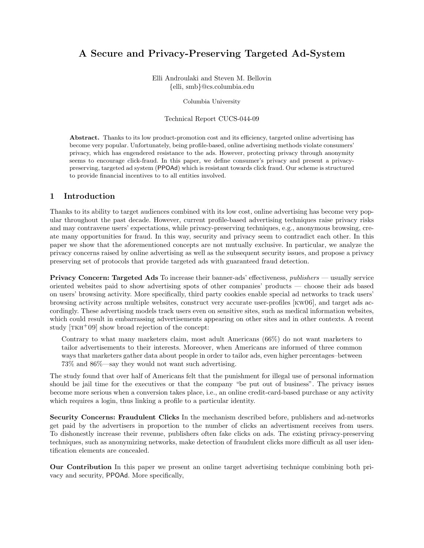# A Secure and Privacy-Preserving Targeted Ad-System

Elli Androulaki and Steven M. Bellovin {elli, smb}@cs.columbia.edu

Columbia University

#### Technical Report CUCS-044-09

Abstract. Thanks to its low product-promotion cost and its efficiency, targeted online advertising has become very popular. Unfortunately, being profile-based, online advertising methods violate consumers' privacy, which has engendered resistance to the ads. However, protecting privacy through anonymity seems to encourage click-fraud. In this paper, we define consumer's privacy and present a privacypreserving, targeted ad system (PPOAd) which is resistant towards click fraud. Our scheme is structured to provide financial incentives to to all entities involved.

## 1 Introduction

Thanks to its ability to target audiences combined with its low cost, online advertising has become very popular throughout the past decade. However, current profile-based advertising techniques raise privacy risks and may contravene users' expectations, while privacy-preserving techniques, e.g., anonymous browsing, create many opportunities for fraud. In this way, security and privacy seem to contradict each other. In this paper we show that the aforementioned concepts are not mutually exclusive. In particular, we analyze the privacy concerns raised by online advertising as well as the subsequent security issues, and propose a privacy preserving set of protocols that provide targeted ads with guaranteed fraud detection.

Privacy Concern: Targeted Ads To increase their banner-ads' effectiveness, publishers — usually service oriented websites paid to show advertising spots of other companies' products — choose their ads based on users' browsing activity. More specifically, third party cookies enable special ad networks to track users' browsing activity across multiple websites, construct very accurate user-profiles [kw06], and target ads accordingly. These advertising models track users even on sensitive sites, such as medical information websites, which could result in embarrassing advertisements appearing on other sites and in other contexts. A recent study  $[TKH^+09]$  show broad rejection of the concept:

Contrary to what many marketers claim, most adult Americans (66%) do not want marketers to tailor advertisements to their interests. Moreover, when Americans are informed of three common ways that marketers gather data about people in order to tailor ads, even higher percentages–between 73% and 86%—say they would not want such advertising.

The study found that over half of Americans felt that the punishment for illegal use of personal information should be jail time for the executives or that the company "be put out of business". The privacy issues become more serious when a conversion takes place, i.e., an online credit-card-based purchase or any activity which requires a login, thus linking a profile to a particular identity.

Security Concerns: Fraudulent Clicks In the mechanism described before, publishers and ad-networks get paid by the advertisers in proportion to the number of clicks an advertisment receives from users. To dishonestly increase their revenue, publishers often fake clicks on ads. The existing privacy-preserving techniques, such as anonymizing networks, make detection of fraudulent clicks more difficult as all user identification elements are concealed.

Our Contribution In this paper we present an online target advertising technique combining both privacy and security, PPOAd. More specifically,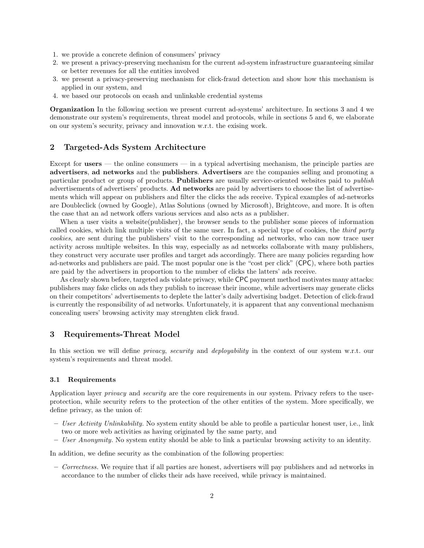- 1. we provide a concrete definion of consumers' privacy
- 2. we present a privacy-preserving mechanism for the current ad-system infrastructure guaranteeing similar or better revenues for all the entities involved
- 3. we present a privacy-preserving mechanism for click-fraud detection and show how this mechanism is applied in our system, and
- 4. we based our protocols on ecash and unlinkable credential systems

Organization In the following section we present current ad-systems' architecture. In sections 3 and 4 we demonstrate our system's requirements, threat model and protocols, while in sections 5 and 6, we elaborate on our system's security, privacy and innovation w.r.t. the exising work.

### 2 Targeted-Ads System Architecture

Except for users — the online consumers — in a typical advertising mechanism, the principle parties are advertisers, ad networks and the publishers. Advertisers are the companies selling and promoting a particular product or group of products. Publishers are usually service-oriented websites paid to publish advertisements of advertisers' products. Ad networks are paid by advertisers to choose the list of advertisements which will appear on publishers and filter the clicks the ads receive. Typical examples of ad-networks are Doubleclick (owned by Google), Atlas Solutions (owned by Microsoft), Brightcove, and more. It is often the case that an ad network offers various services and also acts as a publisher.

When a user visits a website(publisher), the browser sends to the publisher some pieces of information called cookies, which link multiple visits of the same user. In fact, a special type of cookies, the *third party* cookies, are sent during the publishers' visit to the corresponding ad networks, who can now trace user activity across multiple websites. In this way, especially as ad networks collaborate with many publishers, they construct very accurate user profiles and target ads accordingly. There are many policies regarding how ad-networks and publishers are paid. The most popular one is the "cost per click" (CPC), where both parties are paid by the advertisers in proportion to the number of clicks the latters' ads receive.

As clearly shown before, targeted ads violate privacy, while CPC payment method motivates many attacks: publishers may fake clicks on ads they publish to increase their income, while advertisers may generate clicks on their competitors' advertisements to deplete the latter's daily advertising badget. Detection of click-fraud is currently the responsibility of ad networks. Unfortunately, it is apparent that any conventional mechanism concealing users' browsing activity may strenghten click fraud.

#### 3 Requirements-Threat Model

In this section we will define *privacy, security* and *deployability* in the context of our system w.r.t. our system's requirements and threat model.

#### 3.1 Requirements

Application layer *privacy* and *security* are the core requirements in our system. Privacy refers to the userprotection, while security refers to the protection of the other entities of the system. More specifically, we define privacy, as the union of:

- $-$  User Activity Unlinkability. No system entity should be able to profile a particular honest user, i.e., link two or more web activities as having originated by the same party, and
- $-$  User Anonymity. No system entity should be able to link a particular browsing activity to an identity.

In addition, we define security as the combination of the following properties:

– Correctness. We require that if all parties are honest, advertisers will pay publishers and ad networks in accordance to the number of clicks their ads have received, while privacy is maintained.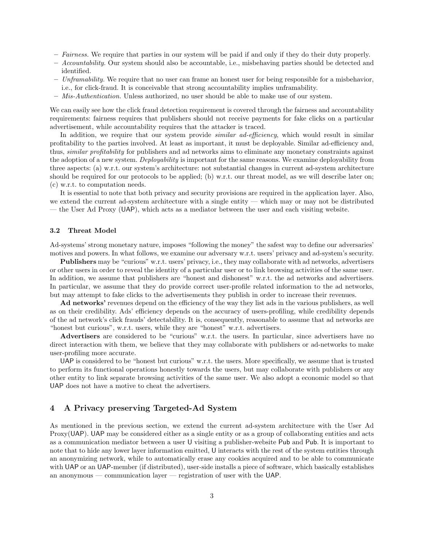- Fairness. We require that parties in our system will be paid if and only if they do their duty properly.
- $-$  Accountability. Our system should also be accountable, i.e., misbehaving parties should be detected and identified.
- $-$  Unframability. We require that no user can frame an honest user for being responsible for a misbehavior, i.e., for click-fraud. It is conceivable that strong accountability implies unframability.
- Mis-Authentication. Unless authorized, no user should be able to make use of our system.

We can easily see how the click fraud detection requirement is covered through the fairness and accountability requirements: fairness requires that publishers should not receive payments for fake clicks on a particular advertisement, while accountability requires that the attacker is traced.

In addition, we require that our system provide *similar ad-efficiency*, which would result in similar profitability to the parties involved. At least as important, it must be deployable. Similar ad-efficiency and, thus, similar profitability for publishers and ad networks aims to eliminate any monetary constraints against the adoption of a new system. Deployability is important for the same reasons. We examine deployability from three aspects: (a) w.r.t. our system's architecture: not substantial changes in current ad-system architecture should be required for our protocols to be applied; (b) w.r.t. our threat model, as we will describe later on; (c) w.r.t. to computation needs.

It is essential to note that both privacy and security provisions are required in the application layer. Also, we extend the current ad-system architecture with a single entity — which may or may not be distributed — the User Ad Proxy (UAP), which acts as a mediator between the user and each visiting website.

#### 3.2 Threat Model

Ad-systems' strong monetary nature, imposes "following the money" the safest way to define our adversaries' motives and powers. In what follows, we examine our adversary w.r.t. users' privacy and ad-system's security.

Publishers may be "curious" w.r.t. users' privacy, i.e., they may collaborate with ad networks, advertisers or other users in order to reveal the identity of a particular user or to link browsing activities of the same user. In addition, we assume that publishers are "honest and dishonest" w.r.t. the ad networks and advertisers. In particular, we assume that they do provide correct user-profile related information to the ad networks, but may attempt to fake clicks to the advertisements they publish in order to increase their revenues.

Ad networks' revenues depend on the efficiency of the way they list ads in the various publishers, as well as on their credibility. Ads' efficiency depends on the accuracy of users-profiling, while credibility depends of the ad network's click frauds' detectability. It is, consequently, reasonable to assume that ad networks are "honest but curious", w.r.t. users, while they are "honest" w.r.t. advertisers.

Advertisers are considered to be "curious" w.r.t. the users. In particular, since advertisers have no direct interaction with them, we believe that they may collaborate with publishers or ad-networks to make user-profiling more accurate.

UAP is considered to be "honest but curious" w.r.t. the users. More specifically, we assume that is trusted to perform its functional operations honestly towards the users, but may collaborate with publishers or any other entity to link separate browsing activities of the same user. We also adopt a economic model so that UAP does not have a motive to cheat the advertisers.

## 4 A Privacy preserving Targeted-Ad System

As mentioned in the previous section, we extend the current ad-system architecture with the User Ad Proxy(UAP). UAP may be considered either as a single entity or as a group of collaborating entities and acts as a communication mediator between a user U visiting a publisher-website Pub and Pub. It is important to note that to hide any lower layer information emitted, U interacts with the rest of the system entities through an anonymizing network, while to automatically erase any cookies acquired and to be able to communicate with UAP or an UAP-member (if distributed), user-side installs a piece of software, which basically establishes an anonymous — communication layer — registration of user with the UAP.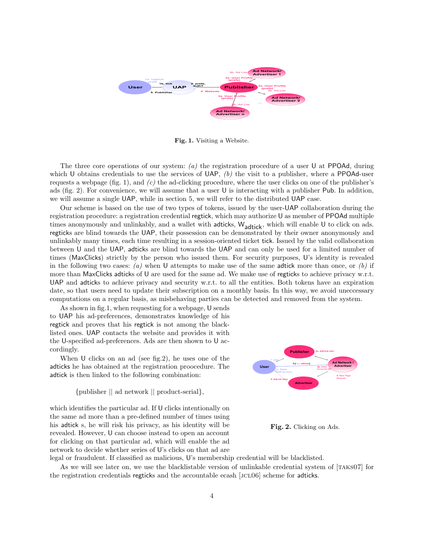

Fig. 1. Visiting a Website.

The three core operations of our system: (a) the registration procedure of a user U at PPOAd, during which U obtains credentials to use the services of UAP,  $(b)$  the visit to a publisher, where a PPOAd-user requests a webpage (fig. 1), and  $(c)$  the ad-clicking procedure, where the user clicks on one of the publisher's ads (fig. 2). For convenience, we will assume that a user U is interacting with a publisher Pub. In addition, we will assume a single UAP, while in section 5, we will refer to the distributed UAP case.

Our scheme is based on the use of two types of tokens, issued by the user-UAP collaboration during the registration procedure: a registration credential regtick, which may authorize U as member of PPOAd multiple times anonymously and unlinkably, and a wallet with adticks,  $W_{\text{adtick}}$ , which will enable U to click on ads. regticks are blind towards the UAP, their possession can be demonstrated by their owner anonymously and unlinkably many times, each time resulting in a session-oriented ticket tick. Issued by the valid collaboration between U and the UAP, adticks are blind towards the UAP and can only be used for a limited number of times (MaxClicks) strictly by the person who issued them. For security purposes, U's identity is revealed in the following two cases: (a) when U attempts to make use of the same adtick more than once, or (b) if more than MaxClicks adticks of U are used for the same ad. We make use of regticks to achieve privacy w.r.t. UAP and adticks to achieve privacy and security w.r.t. to all the entities. Both tokens have an expiration date, so that users need to update their subscription on a monthly basis. In this way, we avoid uneccessary computations on a regular basis, as misbehaving parties can be detected and removed from the system.

As shown in fig.1, when requesting for a webpage, U sends to UAP his ad-preferences, demonstrates knowledge of his regtick and proves that his regtick is not among the blacklisted ones. UAP contacts the website and provides it with the U-specified ad-preferences. Ads are then shown to U accordingly.

When U clicks on an ad (see fig.2), he uses one of the adticks he has obtained at the registration proocedure. The adtick is then linked to the following combination:

{publisher || ad network || product-serial},

which identifies the particular ad. If U clicks intentionally on the same ad more than a pre-defined number of times using his adtick s, he will risk his privacy, as his identity will be revealed. However, U can choose instead to open an account for clicking on that particular ad, which will enable the ad network to decide whether series of U's clicks on that ad are



Fig. 2. Clicking on Ads.

legal or fraudulent. If classified as malicious, U's membership credential will be blacklisted.

As we will see later on, we use the blacklistable version of unlinkable credential system of [TAKS07] for the registration credentials regticks and the accountable ecash [JCL06] scheme for adticks.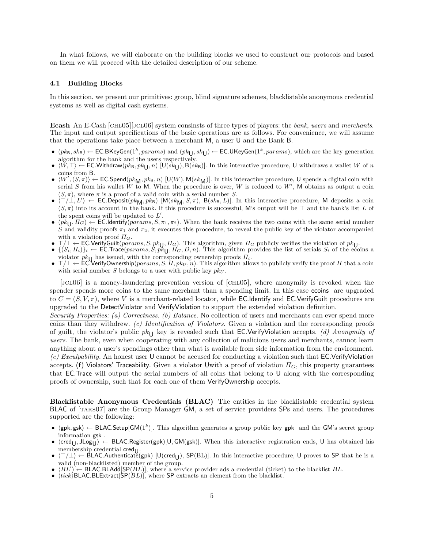In what follows, we will elaborate on the building blocks we used to construct our protocols and based on them we will proceed with the detailed description of our scheme.

#### 4.1 Building Blocks

In this section, we present our primitives: group, blind signature schemes, blacklistable anonymous credential systems as well as digital cash systems.

Ecash An E-Cash [CHL05][JCL06] system consinsts of three types of players: the bank, users and merchants. The input and output specifications of the basic operations are as follows. For convenience, we will assume that the operations take place between a merchant M, a user U and the Bank B.

- $(pk_B, sk_B)$  ← EC.BKeyGen( $1^k,params$ ) and  $(pk_U, sk_U)$  ← EC.UKeyGen( $1^k,params$ ), which are the key generation algorithm for the bank and the users respectively.
- $\langle \bar{W}, \top \rangle$  ← EC.Withdraw( $pk_B$ ,  $pk_H$ , n) [U( $\hat{sk}_L$ ), B( $\hat{sk}_B$ )]. In this interactive procedure, U withdraws a wallet W of n coins from B.
- $\bullet$   $\langle W',(S,\pi) \rangle \leftarrow \textsf{EC.Spend}(pk_M, pk_B, n)$  [U(W), M( $sk_M$ )]. In this interactive procedure, U spends a digital coin with serial S from his wallet W to M. When the procedure is over, W is reduced to  $W'$ , M obtains as output a coin
- $(S, \pi)$ , where  $\pi$  is a proof of a valid coin with a serial number S.<br>
►  $\langle T/\perp, L' \rangle$  ← EC.Deposit( $pk_{\mathbf{M}}, pk_{\mathbf{B}}$ ) [ $M(sk_{\mathbf{M}}, S, \pi)$ , B $(sk_{\mathbf{B}}, L)$ ]. In this interactive procedure, M deposits a coin  $(S, \pi)$  into its account in the bank. If this procedure is successful, M's output will be  $\top$  and the bank's list L of the spent coins will be updated to  $L'$ .
- $(pk_1, H_G) \leftarrow$  EC.Identify(params,  $S, \pi_1, \pi_2$ ). When the bank receives the two coins with the same serial number S and validity proofs  $\pi_1$  and  $\pi_2$ , it executes this procedure, to reveal the public key of the violator accompanied with a violation proof  $\Pi_G$ .
- $\top/\bot \leftarrow$  EC.VerifyGuilt(params, S, pk<sub>U</sub>,  $\Pi_G$ ). This algorithm, given  $\Pi_G$  publicly verifies the violation of pk<sub>U</sub>.
- $\{(S_i, \Pi_i)\}_i \leftarrow \textsf{EC}.\textsf{Trace}(params, \tilde{S}, \hat{pk}_U, \Pi_G, D, n)$ . This algorithm provides the list of serials  $S_i$  of the ecoins a violator  $pk_{\text{U}}$  has issued, with the corresponding ownership proofs  $\Pi_i$ .<br>•  $\top/\bot \leftarrow \text{EC.VerifyOwnership}(params, S, \Pi, pk_U, n)$ . This algorithm allows to publicly verify the proof  $\Pi$  that a coin
- with serial number  $S$  belongs to a user with public key  $pk_U$ .

[jcl06] is a money-laundering prevention version of [chl05], where anonymity is revoked when the spender spends more coins to the same merchant than a spending limit. In this case ecoins are upgraded to  $C = (S, V, \pi)$ , where V is a merchant-related locator, while **EC**.Identify and **EC**.VerifyGuilt procedures are upgraded to the DetectViolator and VerifyViolation to support the extended violation definition.

Security Properties: (a) Correctness. (b) Balance. No collection of users and merchants can ever spend more coins than they withdrew. (c) Identification of Violators. Given a violation and the corresponding proofs of guilt, the violator's public  $pk_{\text{U}}$  key is revealed such that EC.VerifyViolation accepts. (d) Anonymity of users. The bank, even when cooperating with any collection of malicious users and merchants, cannot learn anything about a user's spendings other than what is available from side information from the environment. (e) Exculpability. An honest user U cannot be accused for conducting a violation such that  $EC$ . Verify Violation accepts. (f) Violators' Traceability. Given a violator Uwith a proof of violation  $\Pi_G$ , this property guarantees that EC.Trace will output the serial numbers of all coins that belong to U along with the corresponding proofs of ownership, such that for each one of them VerifyOwnership accepts.

Blacklistable Anonymous Credentials (BLAC) The entities in the blacklistable credential system BLAC of [taks07] are the Group Manager GM, a set of service providers SPs and users. The procedures supported are the following:

- $\langle gpk, gsk \rangle \leftarrow BLAC.Setup[GM(1^k)]$ . This algorithm generates a group public key gpk and the GM's secret group information gsk .
- $\langle cred_U, JLog_U \rangle \leftarrow BLAG.Register(gpk)[U, GM(gsk)].$  When this interactive registration ends, U has obtained his membership credential credu.
- $\bullet$   $\langle \top/\bot \rangle$  ← BLAC.Authenticate(gpk) [U(cred<sub>U</sub>), SP(BL)]. In this interactive procedure, U proves to SP that he is a valid (non-blacklisted) member of the group.
- $\bullet$   $\langle BL' \rangle \leftarrow \text{BLAC.BLAdd}[\text{SP}(BL)]$ , where a service provider ads a credential (ticket) to the blacklist BL.
- $\langle tick \rangle$ BLAC.BLExtract[SP( $B$ L)], where SP extracts an element from the blacklist.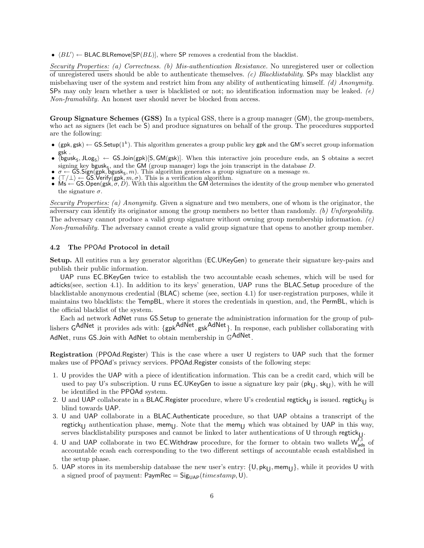•  $\langle BL' \rangle \leftarrow \text{BLAC.BLRemove}[\text{SP}(BL)]$ , where SP removes a credential from the blacklist.

Security Properties: (a) Correctness. (b) Mis-authentication Resistance. No unregistered user or collection of unregistered users should be able to authenticate themselves. (c) Blacklistability. SPs may blacklist any misbehaving user of the system and restrict him from any ability of authenticating himself.  $(d)$  Anonymity. SPs may only learn whether a user is blacklisted or not; no identification information may be leaked.  $(e)$ Non-framability. An honest user should never be blocked from access.

Group Signature Schemes (GSS) In a typical GSS, there is a group manager (GM), the group-members, who act as signers (let each be S) and produce signatures on behalf of the group. The procedures supported are the following:

- (gpk, gsk)  $\leftarrow$  GS.Setup(1<sup>k</sup>). This algorithm generates a group public key gpk and the GM's secret group information gsk .
- $\{bgusk_S, JLog_S \leftarrow GS.Join(gpk)[S, GM(gsk)].$  When this interactive join procedure ends, an S obtains a secret signing key bgusk<sub>s</sub>, and the  $GM$  (group manager) logs the join transcript in the database D.
- $\sigma \leftarrow \widetilde{\text{GS}}$ . Sign(gpk, bgusk<sub>S</sub>, m). This algorithm generates a group signature on a message m.
- $\langle T/\perp \rangle \leftarrow$  GS.Verify(gpk, m,  $\sigma$ ). This is a verification algorithm.
- Ms  $\leftarrow$  GS. Open(gsk,  $\sigma$ , D). With this algorithm the GM determines the identity of the group member who generated the signature  $\sigma$ .

Security Properties: (a) Anonymity. Given a signature and two members, one of whom is the originator, the adversary can identify its originator among the group members no better than randomly. (b) Unforgeability. The adversary cannot produce a valid group signature without owning group membership information. (c) Non-framability. The adversary cannot create a valid group signature that opens to another group member.

#### 4.2 The PPOAd Protocol in detail

Setup. All entities run a key generator algorithm (EC.UKeyGen) to generate their signature key-pairs and publish their public information.

UAP runs EC.BKeyGen twice to establish the two accountable ecash schemes, which will be used for adticks(see, section 4.1). In addition to its keys' generation, UAP runs the BLAC.Setup procedure of the blacklistable anonymous credential (BLAC) scheme (see, section 4.1) for user-registration purposes, while it maintains two blacklists: the TempBL, where it stores the credentials in question, and, the PermBL, which is the official blacklist of the system.

Each ad network AdNet runs GS.Setup to generate the administration information for the group of publishers G<sup>AdNet</sup> it provides ads with: {gpk<sup>AdNet</sup>, gsk<sup>AdNet</sup>}. In response, each publisher collaborating with AdNet, runs GS.Join with AdNet to obtain membership in G<sup>AdNet</sup>.

Registration (PPOAd.Register) This is the case where a user U registers to UAP such that the former makes use of PPOAd's privacy services. PPOAd.Register consists of the following steps:

- 1. U provides the UAP with a piece of identification information. This can be a credit card, which will be used to pay U's subscription. U runs  $EC.UKeyGen$  to issue a signature key pair  $(\mathsf{pk}_U, \mathsf{sk}_U)$ , with he will be identified in the PPOAd system.
- 2. U and UAP collaborate in a BLAC Register procedure, where U's credential regtick<sub>U</sub> is issued. regtick<sub>U</sub> is blind towards UAP.
- 3. U and UAP collaborate in a BLAC.Authenticate procedure, so that UAP obtains a transcript of the regtick<sub>U</sub> authentication phase, mem<sub>U</sub>. Note that the mem<sub>U</sub> which was obtained by UAP in this way, serves blacklistability pursposes and cannot be linked to later authentications of  $\sf{U}$  through regtick $\sf{U}$ .
- 4. U and UAP collaborate in two EC. Withdraw procedure, for the former to obtain two wallets  $W_{ads}^{f, l}$  of accountable ecash each corresponding to the two different settings of accountable ecash established in the setup phase.
- 5. UAP stores in its membership database the new user's entry:  $\{U, \mathsf{pk}_U, \mathsf{mem}_U\}$ , while it provides U with a signed proof of payment:  $\mathsf{Payment} = \mathsf{Sig}_{\mathsf{UAP}}(timestamp, \mathsf{U}).$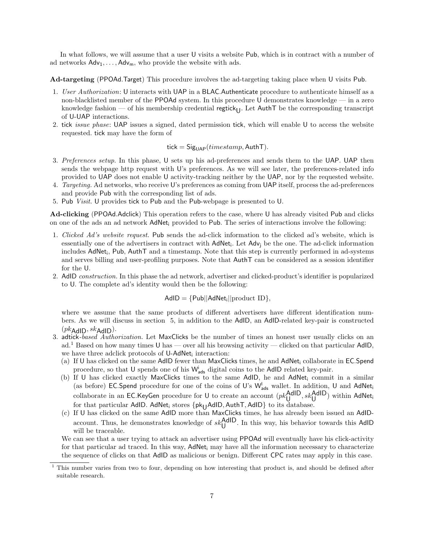In what follows, we will assume that a user U visits a website Pub, which is in contract with a number of ad networks  $Adv_1, \ldots, Adv_m$ , who provide the website with ads.

Ad-targeting (PPOAd.Target) This procedure involves the ad-targeting taking place when U visits Pub.

- 1. User Authorization: U interacts with UAP in a BLAC.Authenticate procedure to authenticate himself as a non-blacklisted member of the PPOAd system. In this procedure U demonstrates knowledge — in a zero knowledge fashion — of his membership credential regtick $_{\mathsf{U}}$ . Let AuthT be the corresponding transcript of U-UAP interactions.
- 2. tick issue phase: UAP issues a signed, dated permission tick, which will enable  $U$  to access the website requested. tick may have the form of

tick =  $Sign_{ILAP}(timestamp, Author).$ 

- 3. Preferences setup. In this phase, U sets up his ad-preferences and sends them to the UAP. UAP then sends the webpage http request with U's preferences. As we will see later, the preferences-related info provided to UAP does not enable U activity-tracking neither by the UAP, nor by the requested website.
- 4. Targeting. Ad networks, who receive U's preferences as coming from UAP itself, process the ad-preferences and provide Pub with the corresponding list of ads.
- 5. Pub Visit. U provides tick to Pub and the Pub-webpage is presented to U.

Ad-clicking (PPOAd.Adclick) This operation refers to the case, where U has already visited Pub and clicks on one of the ads an ad network AdNet<sup>i</sup> provided to Pub. The series of interactions involve the following:

- 1. Clicked Ad's website request. Pub sends the ad-click information to the clicked ad's website, which is essentially one of the advertisers in contract with AdNet<sub>i</sub>. Let Adv<sub>j</sub> be the one. The ad-click information includes AdNet<sup>i</sup> , Pub, AuthT and a timestamp. Note that this step is currently performed in ad-systems and serves billing and user-profiling purposes. Note that AuthT can be considered as a session identifier for the U.
- 2. AdID construction. In this phase the ad network, advertiser and clicked-product's identifier is popularized to U. The complete ad's identity would then be the following:

$$
AdID = {Pub||AdNet_i||product ID},
$$

where we assume that the same products of different advertisers have different identification numbers. As we will discuss in section 5, in addition to the AdID, an AdID-related key-pair is constructed  $(pk_{\text{AdID}}, sk_{\text{AdID}}).$ 

- 3. adtick-based Authorization. Let MaxClicks be the number of times an honest user usually clicks on an ad.<sup>1</sup> Based on how many times U has — over all his browsing activity — clicked on that particular AdID, we have three adclick protocols of U-AdNet; interaction:
	- (a) If U has clicked on the same AdID fewer than MaxClicks times, he and AdNet<sub>i</sub> collaborate in EC.Spend procedure, so that U spends one of his  $W_{ads}^i$  digital coins to the AdID related key-pair.
	- (b) If U has clicked exactly MaxClicks times to the same  $AdID$ , he and  $AdNet$ ; commit in a similar (as before) EC.Spend procedure for one of the coins of U's  $W_{ads}^l$  wallet. In addition, U and AdNet<sub>i</sub> collaborate in an EC.KeyGen procedure for U to create an account  $(\mathit{pk}_{\bigcup}^{\mathsf{AddID}}, \mathit{sk}_{\bigcup}^{\mathsf{AddD}})$  within AdNet<sub>i</sub> for that particular AdID. AdNet<sub>i</sub> stores  $\{pk<sub>U</sub>$ AdID, AuthT, AdID} to its database.
	- (c) If U has clicked on the same AdID more than MaxClicks times, he has already been issued an AdIDaccount. Thus, he demonstrates knowledge of  $sk^{\text{AdID}}_{\text{U}}$ . In this way, his behavior towards this AdID will be traceable.

We can see that a user trying to attack an advertiser using PPOAd will eventually have his click-activity for that particular ad traced. In this way,  $\mathsf{AdNet}_i$  may have all the information necessary to characterize the sequence of clicks on that AdID as malicious or benign. Different CPC rates may apply in this case.

<sup>&</sup>lt;sup>1</sup> This number varies from two to four, depending on how interesting that product is, and should be defined after suitable research.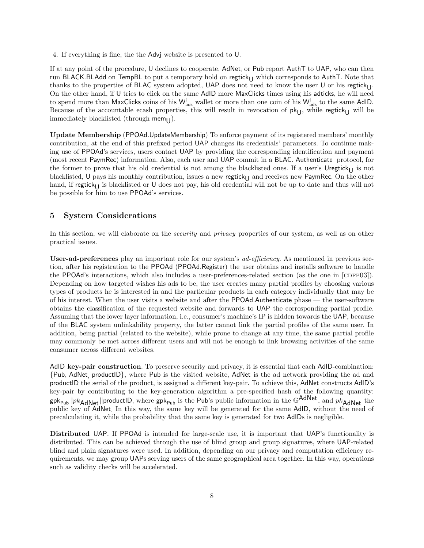4. If everything is fine, the the Advj website is presented to U.

If at any point of the procedure, U declines to cooperate, AdNet<sub>i</sub> or Pub report AuthT to UAP, who can then run BLACK.BLAdd on TempBL to put a temporary hold on regtick<sub>U</sub> which corresponds to AuthT. Note that thanks to the properties of BLAC system adopted, UAP does not need to know the user U or his regtick<sub>U</sub>. On the other hand, if U tries to click on the same AdID more MaxClicks times using his adticks, he will need to spend more than MaxClicks coins of his  $W_{ads}^i$  wallet or more than one coin of his  $W_{ads}^i$  to the same AdID. Because of the accountable ecash properties, this will result in revocation of  $pk<sub>U</sub>$ , while regtick<sub>U</sub> will be immediately blacklisted (through  $\mathsf{mem}_{\mathsf{U}}$ ).

Update Membership (PPOAd.UpdateMembership) To enforce payment of its registered members' monthly contribution, at the end of this prefixed period UAP changes its credentials' parameters. To continue making use of PPOAd's services, users contact UAP by providing the corresponding identification and payment (most recent PaymRec) information. Also, each user and UAP commit in a BLAC. Authenticate protocol, for the former to prove that his old credential is not among the blacklisted ones. If a user's Uregtick u is not blacklisted, U pays his monthly contribution, issues a new regtick<sub>U</sub> and receives new PaymRec. On the other hand, if regtick<sub>U</sub> is blacklisted or U does not pay, his old credential will not be up to date and thus will not be possible for him to use PPOAd's services.

## 5 System Considerations

In this section, we will elaborate on the *security* and *privacy* properties of our system, as well as on other practical issues.

User-ad-preferences play an important role for our system's *ad-efficiency*. As mentioned in previous section, after his registration to the PPOAd (PPOAd.Register) the user obtains and installs software to handle the PPOAd's interactions, which also includes a user-preferences-related section (as the one in  $[CDFP03]$ ). Depending on how targeted wishes his ads to be, the user creates many partial profiles by choosing various types of products he is interested in and the particular products in each category individually that may be of his interest. When the user visits a website and after the PPOAd.Authenticate phase — the user-software obtains the classification of the requested website and forwards to UAP the corresponding partial profile. Assuming that the lower layer information, i.e., consumer's machine's IP is hidden towards the UAP, because of the BLAC system unlinkability property, the latter cannot link the partial profiles of the same user. In addition, being partial (related to the website), while prone to change at any time, the same partial profile may commonly be met across different users and will not be enough to link browsing activities of the same consumer across different websites.

AdID key-pair construction. To preserve security and privacy, it is essential that each AdID-combination: {Pub, AdNet, productID}, where Pub is the visited website, AdNet is the ad network providing the ad and productID the serial of the product, is assigned a different key-pair. To achieve this, AdNet constructs AdID's key-pair by contributing to the key-generation algorithm a pre-specified hash of the following quantity:  $gph_{Pub}||pk_{AdNet}||$ productID, where  $gpk_{Pub}$  is the Pub's public information in the GAdNet, and  $pk_{AdNet}$  the public key of AdNet. In this way, the same key will be generated for the same AdID, without the need of precalculating it, while the probability that the same key is generated for two AdIDs is negligible.

Distributed UAP. If PPOAd is intended for large-scale use, it is important that UAP's functionality is distributed. This can be achieved through the use of blind group and group signatures, where UAP-related blind and plain signatures were used. In addition, depending on our privacy and computation efficiency requirements, we may group UAPs serving users of the same geographical area together. In this way, operations such as validity checks will be accelerated.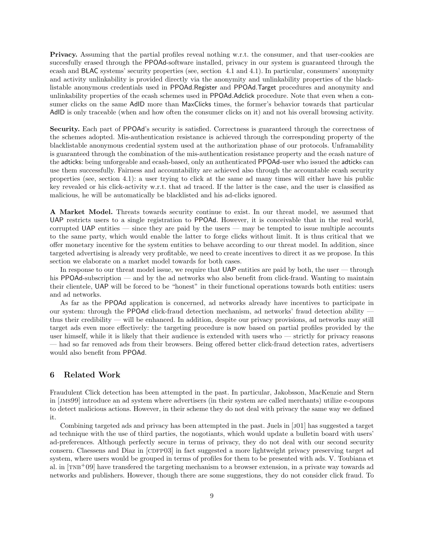**Privacy.** Assuming that the partial profiles reveal nothing w.r.t. the consumer, and that user-cookies are succesfully erased through the PPOAd-software installed, privacy in our system is guaranteed through the ecash and BLAC systems' security properties (see, section 4.1 and 4.1). In particular, consumers' anonymity and activity unlinkability is provided directly via the anonymity and unlinkability properties of the blacklistable anonymous credentials used in PPOAd.Register and PPOAd.Target procedures and anonymity and unlinkability properties of the ecash schemes used in PPOAd.Adclick procedure. Note that even when a consumer clicks on the same AdID more than MaxClicks times, the former's behavior towards that particular AdID is only traceable (when and how often the consumer clicks on it) and not his overall browsing activity.

Security. Each part of PPOAd's security is satisfied. Correctness is guaranteed through the correctness of the schemes adopted. Mis-authentication resistance is achieved through the corresponding property of the blacklistable anonymous credential system used at the authorization phase of our protocols. Unframability is guaranteed through the combination of the mis-authentication resistance property and the ecash nature of the adticks: being unforgeable and ecash-based, only an authenticated PPOAd-user who issued the adticks can use them successfully. Fairness and accountability are achieved also through the accountable ecash security properties (see, section 4.1): a user trying to click at the same ad many times will either have his public key revealed or his click-activity w.r.t. that ad traced. If the latter is the case, and the user is classified as malicious, he will be automatically be blacklisted and his ad-clicks ignored.

A Market Model. Threats towards security continue to exist. In our threat model, we assumed that UAP restricts users to a single registration to PPOAd. However, it is conceivable that in the real world, corrupted  $UAP$  entities — since they are paid by the users — may be tempted to issue multiple accounts to the same party, which would enable the latter to forge clicks without limit. It is thus critical that we offer monetary incentive for the system entities to behave according to our threat model. In addition, since targeted advertising is already very profitable, we need to create incentives to direct it as we propose. In this section we elaborate on a market model towards for both cases.

In response to our threat model issue, we require that UAP entities are paid by both, the user — through his PPOAd-subscription — and by the ad networks who also benefit from click-fraud. Wanting to maintain their clientele, UAP will be forced to be "honest" in their functional operations towards both entities: users and ad networks.

As far as the PPOAd application is concerned, ad networks already have incentives to participate in our system: through the PPOAd click-fraud detection mechanism, ad networks' fraud detection ability thus their credibility — will be enhanced. In addition, despite our privacy provisions, ad networks may still target ads even more effectively: the targeting procedure is now based on partial profiles provided by the user himself, while it is likely that their audience is extended with users who — strictly for privacy reasons — had so far removed ads from their browsers. Being offered better click-fraud detection rates, advertisers would also benefit from PPOAd.

## 6 Related Work

Fraudulent Click detection has been attempted in the past. In particular, Jakobsson, MacKenzie and Stern in [jms99] introduce an ad system where advertisers (in their system are called merchants) utilize e-coupons to detect malicious actions. However, in their scheme they do not deal with privacy the same way we defined it.

Combining targeted ads and privacy has been attempted in the past. Juels in [j01] has suggested a target ad technique with the use of third parties, the nogotiants, which would update a bulletin board with users' ad-preferences. Although perfectly secure in terms of privacy, they do not deal with our second security consern. Claessens and Diaz in [CDFP03] in fact suggested a more lightweight privacy preserving target ad system, where users would be grouped in terms of profiles for them to be presented with ads. V. Toubiana et al. in [tnb+09] have transfered the targeting mechanism to a browser extension, in a private way towards ad networks and publishers. However, though there are some suggestions, they do not consider click fraud. To